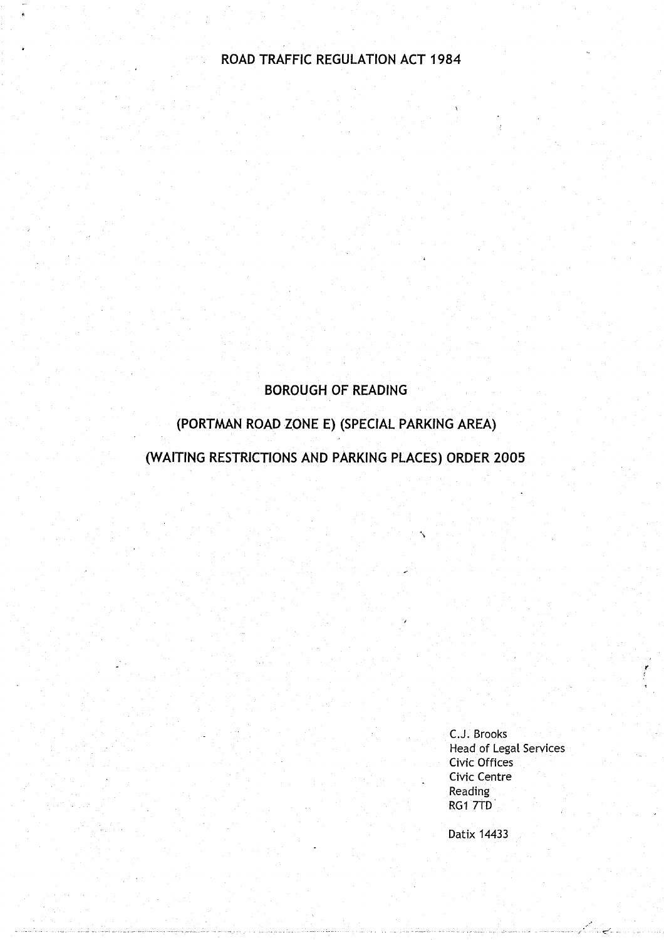### **ROAD** TRAFFIC REGULATION ACT 1984

### **BOROUGH OF READING**

### **(PORTMAN ROAD ZONE E**) (SPECIAL **PARKING AREA)**

(WAITING **RESTRICTIONS AND PARKING** PLACES) **ORDER 2005**

C.J. Brooks **Head of Legal** Services Civic Offices Civic Centre **Reading** RG1 7TD

Datix 14433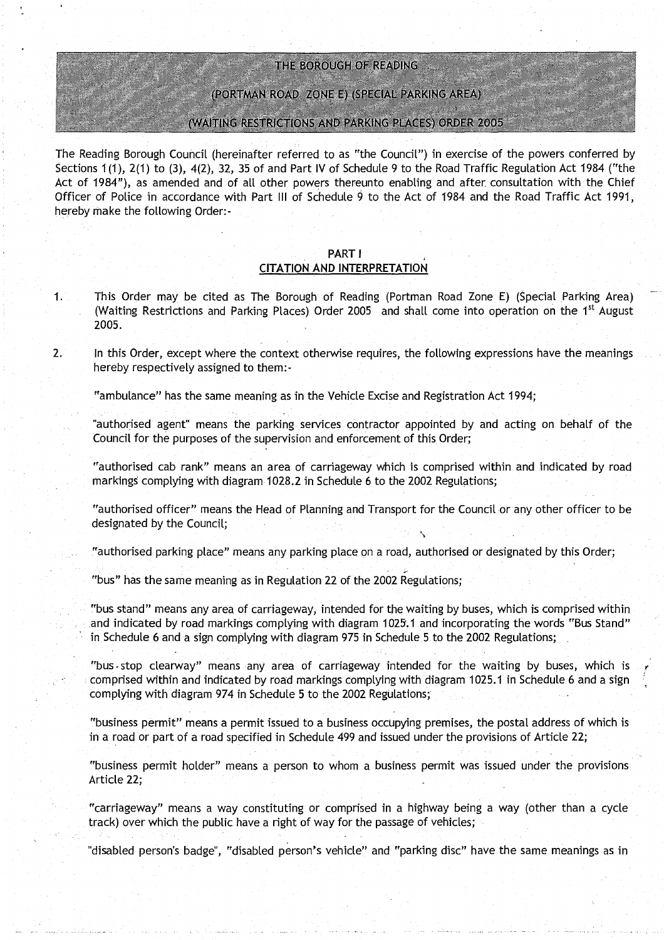#### THE BOROUGH OF READING

#### (PORTMAN ROAD ZONE E) (SPECIAL PARKING AREA)

#### (WAITING RESTRICTIONS AND PARKING PLACES) ORDER 2005

**The Reading Borough Council** (**hereinafter referred to as** the **Council** ") **in exercise of the powers conferred by Sections 1(1), 2(1) to** (**3), 4(2), 32**, **35 of and Part IV of Schedule 9 to the Road Traffic Regulation Act 1984 ("the Act of 1984** "), **as amended and of all other powers thereunto enabling and after**. **consultation with the Chief Officer of Police in accordance with Part III of Schedule 9 to the Act of 1984 and the Road Traffic Act 1991, hereby make the following Order :-**

#### **PART** I **CITATION AND INTERPRETATION**

- **1 This Order may be cited as The Borough of Reading** (**Portman Road Zone E**) (**Special** Parking **Area) (Waiting Restrictions and Parking Places** ) **Order 2005 and shall come into operation on the 1st August 2005 .**
- **<sup>2</sup> . In this Order**, **except where the context otherwise requires** , **the following expressions have the meanings hereby respectively assigned to them :**

**"ambulance**" **has the same meaning as in the Vehicle Excise and Registration Act 1994;**

**authorised agent**" **means the parking services contractor appointed by and acting on behalf of the Council for the purposes of the supervision and enforcement of this Order ;**

**"authorised cab rank" means an area of carriageway which is comprised within and indicated by road markings complying with diagram 1028 .2 in Schedule 6 to the 2002 Regulations ;**

**"authorised officer" means the Head of Planning and Transport for the Council or any other officer to be designated by the Council ;**

**"authorised parking place**" **means any parking place on a road** , **authorised or designated by this Order;**

**"bus" has the same meaning as in Regulation 22 of the 2002 Regulations;**

**"bus stand**" **means any area of carriageway**, **intended for the waiting by buses, which is comprised within and indicated by road markings complying with diagram 1025**. **1 and incorporating the** words **"Bus Stand" in,Schedule 6 and a sign complying with diagram 975 in Schedule .5 to the 2002 Regulations;**

**"bus-stop clearway**" **means any area of carriageway intended for the waiting by buses, which is comprised within and indicated by road markings complying with diagram 1025** . **1 in Schedule 6 and a sign complying with diagram 974 in Schedule 5 to the 2002 Regulations;**

**"business** permit" **means a permit issued to a business occupying premises, the postal address of which is in a road or part of a road specified in Schedule 499 and issued under the provisions of Article 22 ;**

**"business permit holder** " **means a person to whom a business permit was issued under the provisions Article 22 ;**

**"carriageway** " **means a way constituting or comp** ri**sed in a highway being a way** (**other than a cycle track**) **over which the public have a right of way for the passage of vehicles ,**

**"disabled person**'**s badge**", "**disabled person's vehicle** " **and "parking disc" have the same meanings as in**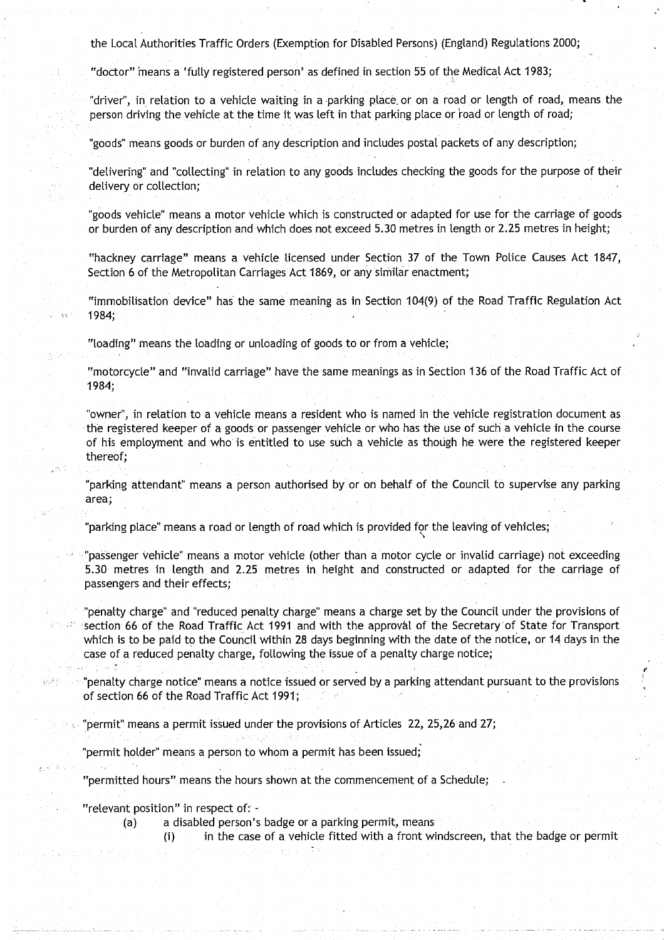the Local Authorities Traffic Orders (Exemption for Disabled Persons) (England) Regulations 2000;

"doctor" 'means a 'fully registered person' as defined in section 55 of the Medical Act 1983;

"driver", in relation to a vehicle waiting in a parking place, or on a road or length of road, means the person driving the vehicle at the time it was left in that parking place or road or length of road;

"goods" means goods or burden of any description and includes postal packets of any description;

"delivering" and "collecting" in relation to any goods includes checking the goods for the purpose of their delivery or collection;

"goods vehicle" means a motor vehicle which is constructed or adapted for use for the carriage of goods or burden of any description and which does not exceed 5.30 metres in length or 2.25 metres in height;

"hackney carriage" means a vehicle licensed under Section 37 of the Town Police Causes Act 1847, Section 6 of the Metropolitan Carriages Act 1869, or any similar enactment;

"immobilisation device" has the same meaning as in Section 104(9) of the Road Traffic Regulation Act 1984;

"loading" means the loading or unloading of goods to or from a vehicle;

"motorcycle" and "invalid carriage" have the same meanings as in Section 136 of the Road Traffic Act of 1984;

"owner", in relation to a vehicle means a resident who is named in the vehicle registration document as the registered keeper of a goods or passenger vehicle or who has the use of such a vehicle in the course of his employment and who is entitled to use such a vehicle as though he were the registered keeper thereof;

"parking attendant" means a person authorised by or on behalf of the Council to supervise any parking area;

"parking place" means a road or length of road which is provided for the leaving of vehicles;

"passenger vehicle" means a motor vehicle (other than a motor cycle or invalid carriage) not exceeding 5.30 metres in length and 2 .25 metres in height and constructed or adapted for the carriage of passengers and their effects;

''penalty charge" and "reduced penalty charge" means a charge set by the Council under the provisions of section 66 of the Road Traffic Act 1991 and with the approval of the Secretary of State for Transport which is to be paid to the Council within 28 days beginning with the date of the notice, or 14 days in the case of a reduced penalty charge, following the issue of a penalty charge notice;

 $\nu$ "penalty charge notice" means a notice issued or served by a parking attendant pursuant to the provisions of section 66 of the Road Traffic Act 1991;

"Permit" means a permit issued under the provisions of Articles 22, 25,26 and **27;**

"permit holder" means a person to whom a permit has been issued;

"permitted hours" means the hours shown at the commencement of a Schedule;

"relevant position" in respect of:  $-$ 

الرائية فوجها

(a) a disabled person's badge or a parking permit, means

(i) in the case of a vehicle fitted with a front windscreen, that the badge or permit

f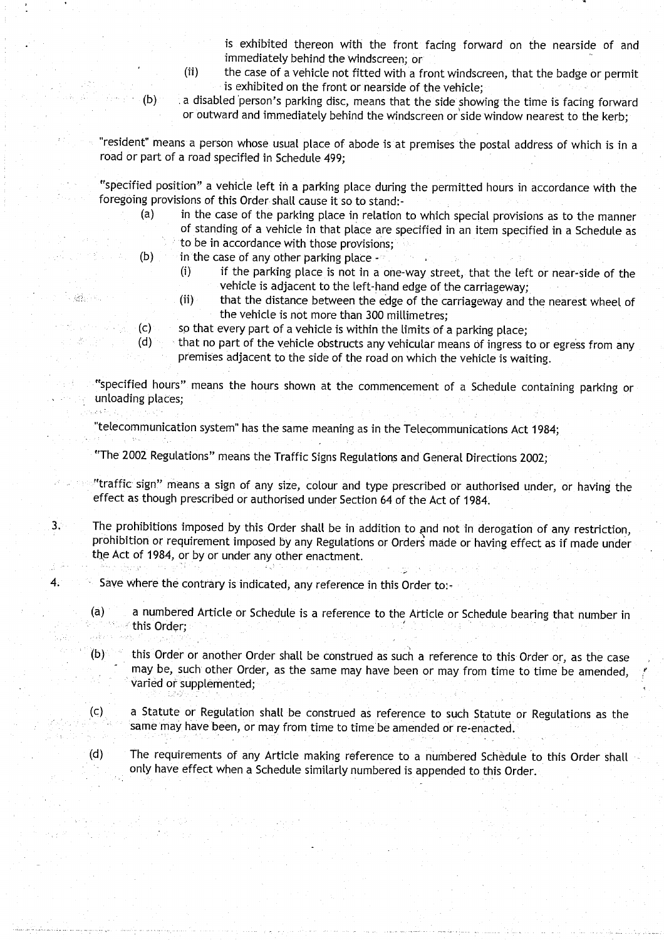is exhibited thereon with the front facing forward on the nearside of and immediately behind the windscreen; or

- (ii) the case of a vehicle not fitted with a front windscreen, that the badge or permit is exhibited on the front or nearside of the vehicle;
- (b) a disabled' person's parking disc, means that the side showing the time is facing forward or outward and immediately behind the windscreen or side window nearest to the kerb;

resident" means a person whose usual place of abode is at premises the postal address of which is in a road or part of a road specified in Schedule 499;

"specified position" a vehicle left in a parking place during the permitted hours in accordance with the foregoing provisions of this Order shall cause it so to stand:<br>(a) in the case of the parking place in relation

- in the case of the parking place in relation to which special provisions as to the manner of standing of a vehicle in that place are specified in an item specified in a Schedule as
- to be in accordance with those provisions: (b) in the case of any other parking place  $-\frac{1}{2}$

 $\mathcal{B}^{\text{th}}_{\text{in}}$  ,  $\mathcal{C}_{\text{in}}$ 

- (i) if the parking place is not in a one-way street, that the left or near-side of the vehicle is adjacent to the left-hand edge of the carriageway;
- (ii) that the distance between the edge of the carriageway and the nearest wheel of the vehicle is not more than 300 millimetres;
- (c) so that every part of a vehicle is within the limits of a parking place;<br>(d) that no part of the vehicle obstructs any vehicular means of ingress t
	- that no part of the vehicle obstructs any vehicular means of ingress to or egress from any premises adjacent to the side of the road on which the vehicle is waiting .

"specified hours" means the hours shown at the commencement of a Schedule containing parking or unloading places; الكفوي

"telecommunication system" has the same meaning as in the Telecommunications Act 1984;

"The 2002 Regulations" means the Traffic Signs Regulations and General Directions 2002 ;

- "traffic sign" means a sign of any size, colour and type prescribed or authorised under, or having the effect as though prescribed or authorised under Section 64 of the Act of 1984 .
- 3. The prohibitions imposed by this Order shalt be in addition to and not in derogation of any restriction, prohibition or requirement imposed by any Regulations or Orders made or having effect as if made under the Act of 1984, or by or under any other enactment.
- 4. Save where the contrary is indicated, any reference in this Order to:-
	- (a) a numbered Article or Schedule is a reference to the Article or Schedule bearing that number in this Order;
	- (b) this Order or another Order shalt be construed as such a reference to this Order or, as the case may be, such other Order, as the same may have been or may from time to time be amended, varied or supplemented;
	- (c) a Statute or Regulation shall be construed as reference to such Statute or Regulations as the same may have been, or may from time to time be amended or re-enacted .
	- (d) The requirements of any Article making reference to a numbered Schedule 'to this Order shall only have effect when a Schedule similarly numbered is appended to this Order .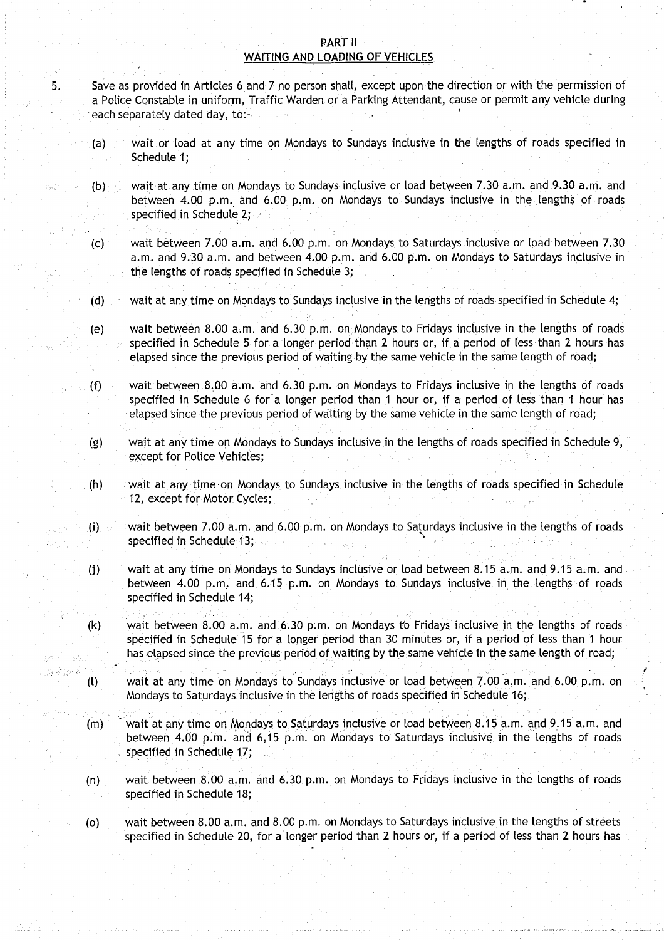#### PART II WAITING AND LOADING OF VEHICLES

- 5. Save as provided in Articles 6 and 7 no person shall, except upon the direction or with the permission of a Police Constable in uniform, Traffic Warden or a Parking Attendant, cause or permit any vehicle during each separately dated day, to:-
	- (a) wait or toad at any time on Mondays to Sundays inclusive in the lengths of roads specified in Schedule 1;
	- (b) wait at any time on Mondays to Sundays inclusive or load between 7.30 a.m. and 9.30 a.m. and between 4.00 p.m. and 6.00 p.m. on Mondays to Sundays inclusive in the lengths of roads specified in Schedule 2;
	- (c) wait between 7.00 a.m . and 6 .00 p.m.. on Mondays to Saturdays inclusive or load between 7.30 a.m . and 9 .30 a.m . and between 4 .00 p.m . and 6 .00 p.m . on Mondays to Saturdays inclusive in the lengths of roads specified in Schedule 3;
	- (d) wait at any time on Mondays to Sundays inclusive in the lengths of roads specified in Schedule 4;
	- (e) wait between 8.00 a.m. and 6.30 p.m. on .Mondays to Fridays inclusive in the lengths of roads specified in Schedule 5 for a longer period than 2 hours or, if a period of less than 2 hours has elapsed since the previous period of waiting by the same vehicle in the same length of road;
	- (f) wait between 8 .00 a .m . and 6 .30 p.m . on Mondays to Fridays inclusive in the lengths of roads specified in Schedule 6 for a longer period than 1 hour or, if a period of less than 1 hour has elapsed since the previous period of waiting by the same vehicle in the **same length** of road;
	- (g) wait at any time on Mondays to Sundays inclusive in the lengths of roads specified in Schedule 9, except for Police Vehicles;
	- (h) wait at any time on Mondays to Sundays inclusive in the lengths of roads specified in Schedule 12, except for Motor Cycles;
	- (i) wait between 7.00 a.m. and 6.00 p.m. on Mondays to Saturdays inclusive in the lengths of roads specified in Schedule 13; **See Fig.**
	- (j) wait at any time on Mondays to Sundays inclusive or load between **8.15 a .m. and 9**. **15 a.m. and** between 4.00 p.m. and 6.15 p.m. on Mondays to Sundays inclusive in the lengths of roads specified in Schedule 14;
	- (k) wait between **<sup>8</sup> .00 a**.m. and 6 .30 pm . on Mondays to Fridays inclusive in the lengths of roads specified in Schedule 15 for a longer period than 30 minutes or, if a period of less than 1 hour has elapsed since the previous period of waiting by the same vehicle in the same length of road;
	- (l) wait at any time on Mondays to Sundays inclusive or load between 7 .00 a.m. and 6.00 p.m. on Mondays to Saturdays inclusive in the lengths of roads specified in Schedule 16;
	- (m) wait at any time on Mondays to Saturdays inclusive or load between **8.15 a .m**. and 9.15 a.m. and between 4 .00 p.m . and 6,15 p.m. on Mondays to Saturdays inclusive in the lengths of roads specified in Schedule 17;
	- (n) wait between 8 .00 a .m . and 6.30 p.m . on Mondays to Fridays inclusive in the lengths of roads specified in Schedule 18;
	- (o) wait between **<sup>8</sup> .00 a**.m. and 8.00 p.m . on Mondays to Saturdays inclusive in the lengths of streets specified in Schedule 20, for a longer period than 2 hours or, if a period of less than 2 hours has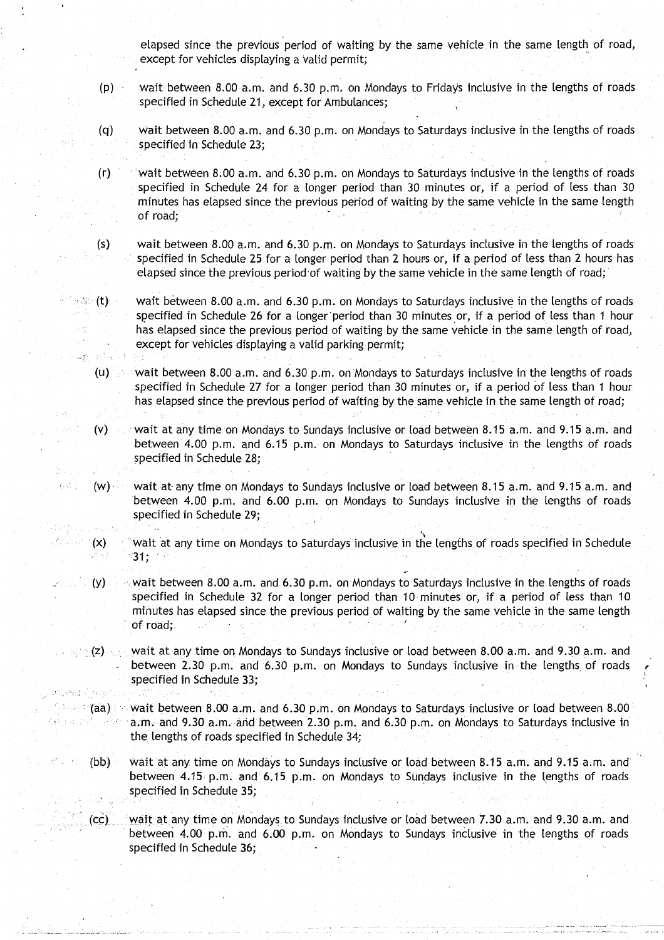elapsed since the previous period of waiting by the same vehicle, in the same length of road, except for vehicles displaying a valid permit;

- (p) wait between 8 .00 a.m . and 6 .30 p.m. on Mondays to Fridays inclusive in the lengths of roads specified in Schedule 21, except for Ambulances;
- (q) wait between 8.00 a.m. and 6.30 p.m. on Mondays to Saturdays inclusive in the lengths of roads specified in Schedule 23;
- $(r)$  : wait between 8.00 a.m. and 6.30 p.m. on Mondays to Saturdays inclusive in the lengths of roads specified in Schedule 24 for a longer period than 30 minutes or, if a period of less than 30 minutes has elapsed since the previous period of waiting by the same vehicle in the same length of road;
- (s) wait between 8.00 a.m. and 6.30 p.m. on Mondays to Saturdays inclusive in the lengths of roads specified in Schedule 25 for a longer period than 2 hours or, if a period of less than 2 hours has elapsed since the previous period of waiting by the same vehicle in the same length of road;
- $\lll$  (t) wait between 8.00 a.m. and 6.30 p.m. on Mondays to Saturdays inclusive in the lengths of roads specified in Schedule 26 for a longer period than 30 minutes or, if a period of less than 1 hour has elapsed since the previous period of waiting by the same vehicle in the same length of road, except for vehicles displaying a valid parking permit;
	- (u) wait between 8.00 a.m. and 6.30 p.m. on Mondays to Saturdays inclusive in the lengths of roads specified in Schedule 27 for a longer period than 30 minutes or, if a period of less than 1 hour has elapsed since the previous period of waiting by the same vehicle in the same length of road;

 $\mathcal{L}^{(A)}_{\text{c},\text{c},\text{c}}$ 

ng specific telepa

- (v) wait at any time on Mondays to Sundays inclusive or load between 8.15 a.m. and 9.15 a.m. and between 4.00 p.m. and 6.15 p.m. on Mondays to Saturdays inclusive in the lengths of roads specified in Schedule 28;
- $(w)$  wait at any time on Mondays to Sundays inclusive or load between 8.15 a.m. and 9.15 a.m. and between 4.00 p.m. and 6.00 p.m. on Mondays to Sundays inclusive in the lengths of roads specified in Schedule 29;
- (x) 'wait at any time on Mondays to Saturdays inclusive in the lengths of roads specified in Schedule  $31:$
- $(y)$  wait between 8.00 a.m. and 6.30 p.m. on Mondays to Saturdays inclusive in the lengths of roads specified in Schedule 32 for a longer period than 10 minutes or, if a period of less than 10 minutes has elapsed since the previous period of waiting by the same vehicle in the same length of road;
- $\ket{\psi_{\text{c}}(z)}$  wait at any time on Mondays to Sundays inclusive or load between 8.00 a.m. and 9.30 a.m. and between 2.30 p.m. and 6.30 p.m. on Mondays to Sundays inclusive in the lengths of roads specified in Schedule 33;
	- $\%$  (aa) wait between 8.00 a.m. and 6.30 p.m. on Mondays to Saturdays inclusive or load between 8.00 a.m. and 9.30 a.m. and between 2.30 p.m. and 6.30 p.m. on Mondays to Saturdays inclusive in the lengths of roads specified in Schedule 34;
		- (bb) wait at any time on Mondays to Sundays inclusive or load between 8 .15 a.m. and 9.15 a.m. and between 4.15 p.m. and 6.15 p.m. on Mondays to Sundays inclusive in the lengths of roads specified in Schedule 35;
		- (cc) wait at any time on Mondays to Sundays inclusive or load between 7.30 a.m. and 9.30 a.m. and between 4.00 p.m. and 6 .00 p.m. on Mondays to Sundays inclusive in the lengths of roads specified in Schedule 36;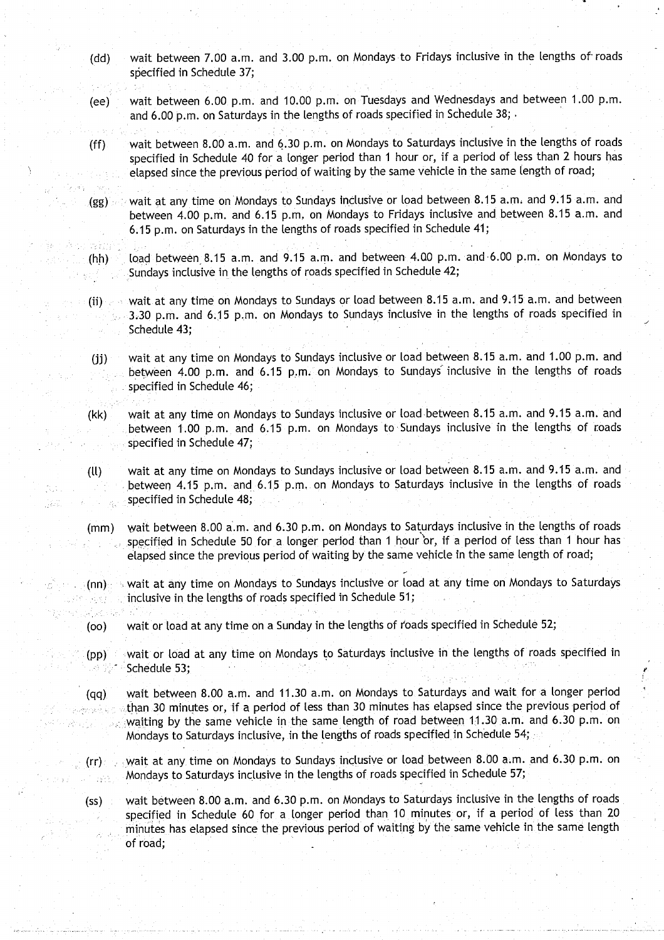- (dd) wait between 7.00 a.m. and 3 .00 p.m . on Mondays to Fridays inclusive in the lengths of roads specified in Schedule 37;
- (ee) wait between 6.00 p.m. and 10.00 p.m. on Tuesdays and Wednesdays and between 1.00 p.m. and 6.00 p.m. on Saturdays in the lengths of roads specified in Schedule 38;
- (ff) wait between **<sup>8</sup> .00 a** .m . and 6.30 p.m . on Mondays to Saturdays inclusive in the lengths of roads specified in Schedule 40 for a longer period than 1 hour or, if a period of less than 2 hours has elapsed since the previous period of waiting by the same vehicle in the **same length** of road;
- (gg) wait at any time on Mondays to Sundays inclusive or load between 8.15 a.m. and 9.15 a.m. and between 4.00 p.m. and 6.15 p.m. on Mondays to Fridays inclusive and between 8.15 a.m. and <sup>6</sup> .15 p.m. on Saturdays in the lengths of roads specified in Schedule 41 ;
- (hh) load between 8.15 a.m. and 9.15 a.m. and between 4.00 p.m. and 6.00 p.m. on Mondays to Sundays inclusive in the lengths of roads specified in Schedule 42;
- (ii) wait at any time on Mondays to Sundays or load between **8.15 a.m. and 9**.15 a.m. and between 3.30 p.m. and 6.15 p,m . on Mondays to Sundays inclusive in the lengths of roads specified in Schedule 43;
- (jj) wait at any time on Mondays to Sundays inclusive or load between 8.15 a.m. and 1.00 p.m. and between 4.00 p.m. and 6.15 p.m. on Mondays to Sundays inclusive in the lengths of roads specified in Schedule 46;
- (kk) wait at any time on Mondays to Sundays inclusive or load between 8 .15 a.m . and 9.15 a.m . and between 1.00 p.m. and 6.15 p.m. on Mondays to Sundays inclusive in the lengths of roads specified in Schedule 47;
- (11) wait at any time on Mondays to Sundays inclusive or load between **<sup>8</sup> .15 a .m** . and 9 . **15 a .m . and** between 4.15 p.m. and 6 .15 p.m. . on Mondays to Saturdays inclusive in the lengths of roads specified in Schedule 48;
- (mm) wait between 8.00 a.m. and 6.30 p.m. on Mondays to Saturdays inclusive in the lengths of roads specified in Schedule 50 for a longer period than 1 hour or, if a period of less than 1 hour has elapsed since the previous period of waiting by the same vehicle in the same length of road;
- **Condition** wait at any time on Mondays to Sundays inclusive or load at any time on Mondays to Saturdays inclusive in the lengths of roads specified in Schedule 51; s Province
	- (oo) wait or load at any time on a Sunday in the lengths of roads specified in Schedule 52;

al kinik

- (pp) wait or load at any time on Mondays to Saturdays inclusive in the lengths of roads specified in Schedule 53;
- (qq) wait between **<sup>8</sup> .00 a**.m. and 11 .30 a.m . on Mondays to Saturdays and wait for a longer period than 30 minutes or, if a period of less than 30 minutes has elapsed since the previous period of 病毒酶疾病症 waiting by the same vehicle in the same length of road between 11.30 a.m. and 6.30 p.m. on Mondays to Saturdays inclusive, in the lengths of roads specified in Schedule 54;
	- (rr) wait at any time on Mondays to Sundays inclusive or load between 8.00 a.m. and 6.30 p.m. on Mondays to Saturdays inclusive in the lengths of roads specified in Schedule 57; 1825
	- (ss) wait between **8.00 a** .m. and 6 .30 p .m . on Mondays to Saturdays inclusive in the lengths of roads specified in Schedule 60 for a longer period than 10 minutes or, if a period of less than 20 minutes has elapsed since the previous period of waiting by the same vehicle in the same length of road;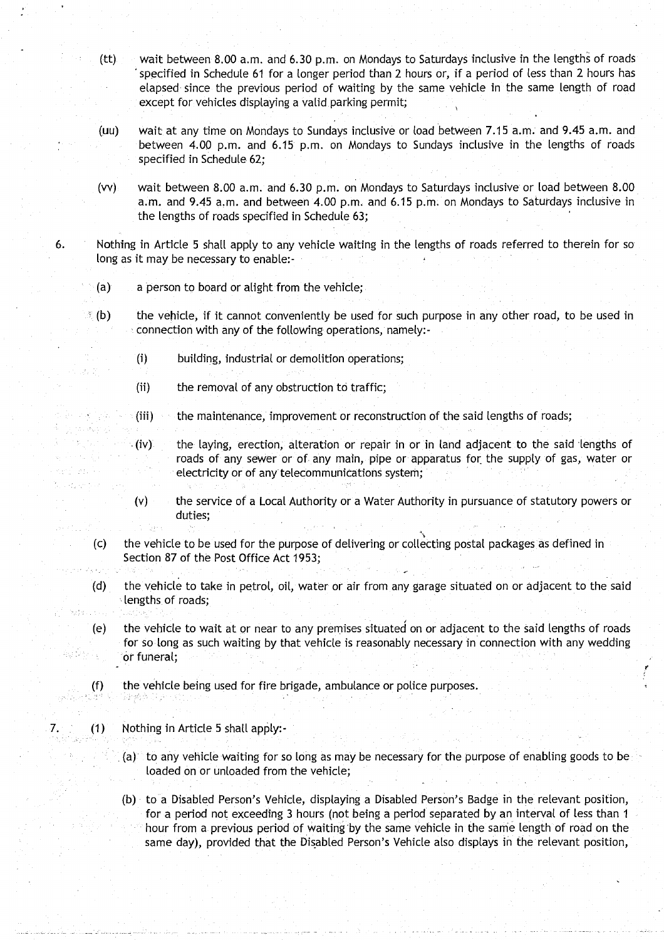- **(tt) wait between 8 .00 a** . **m. and 6**.**30 p.m** . **on Mondays to Saturdays inclusive in the lengths of roads specified in Schedule 61 for a longer period than 2 hours or** , **if a period of less than 2 hours has elapsed since the previous period of waiting by the same** vehicle in **the same length of road except for vehicles displaying a valid parking permit ;**
- **(uu) wait at any time on Mondays to Sundays inclusive or toad between 7 .15 a** . **m . and 9**.**45 a .m . and between 4**.**00 p.m** . **and 6 .15 p**. **<sup>m</sup> . on Mondays to Sundays inclusive in the lengths of roads specified in Schedule 62;**
- **(vv) wait between 8 .00 a .m** . **and 6.30 p .m** . **on Mondays to Saturdays inclusive or load between 8 .00 <sup>a</sup> .m.. and 9.45 a .m . and between 4.00 p**. **m . and 6**.15 p .m**. on Mondays to Saturdays inclusive in the lengths of roads specified in Schedule 63 ;**
- **6. Nothing in Article 5 shalt apply to any vehicle waiting in the lengths of roads referred to therein for so** long as it may be necessary to enable:-
	- **(a) a person to board or alight from the vehicle ;**
	- **(b) the vehicle, if it cannot conveniently be used for such purpose in any other road, to be used in connection with any of the following operations**, namely:
		- **(i) building, industrial or demolition operations ;**
		- **(ii) the removal of any obstruction to traffic,**
		- **(iii) the maintenance**, **improvement or reconstruction of the said lengths of roads ;**
		- **(iv) the laying**, **erection, alteration or repair in or in land adjacent to the said lengths of roads of any sewer or of any main** , **pipe or apparatus for the supply of gas**, **water or electricity or of any telecommunications system ;**
		- (v) the service of a Local Authority or a Water Authority in pursuance of statutory powers or **duties;**
	- **(c) the vehicle to be used for the purpose of delivering or collecting postal packages as defined in Section 87 of the Post Office Act 1953 ;**
	- **(d) the vehicle to take in petrol**, **oil, water or air from any garage situated on or adjacent to the said lengths of roads;**
	- **(e) the vehicle to wait at or near to any premises situated on or adjacent to the said lengths of roads** for so long as such waiting by that vehicle is reasonably necessary in connection with any wedding **or funeral;**
	- **(f) the vehicle being used for fire brigade** , **ambulance or police purposes.**

**7. (1) Nothing in Article 5 shall apply:-**

(a) to any vehicle waiting for so long as may be necessary for the purpose of enabling goods to be loaded on or unloaded from the vehicle;

p.

**(b) to a Disabled Person's Vehicle** , **displaying a Disabled Person** '**s Badge in the relevant position, for a period not exceeding 3 hours** (**not being a period separated by an interval of less than 1 hour from a previous period of waiting by the same vehicle in the same length of road on the same day), provided that the Disabled Person's Vehicle also displays in the relevant position,**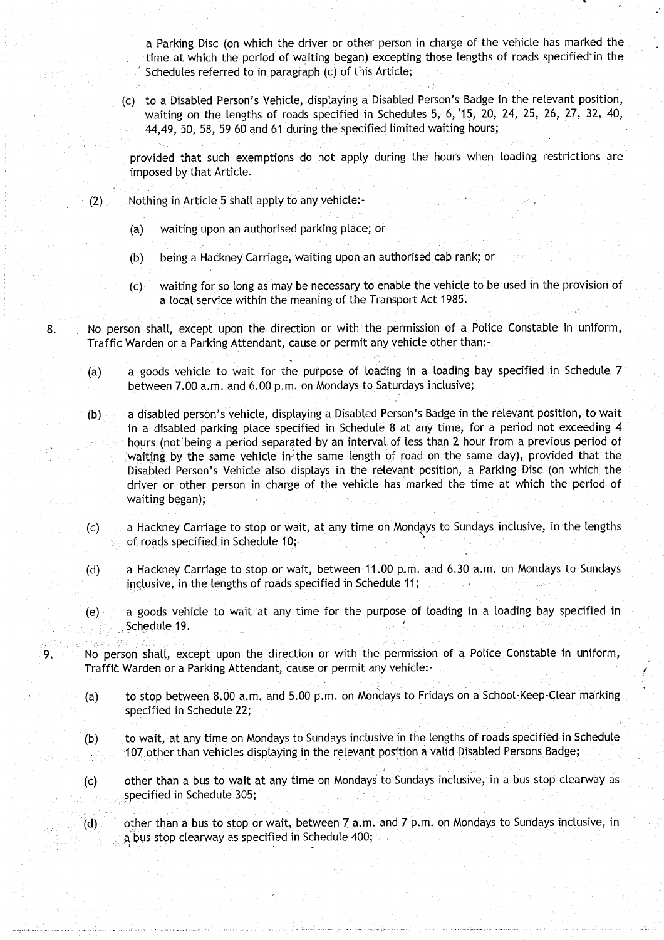a Parking Disc (on which the driver or other person in charge of the vehicle has marked the time. at which the period of waiting began) excepting those lengths of roads specified-in the Schedules referred to in paragraph (c) of this Article;

(c) to a Disabled Person's Vehicle, displaying a Disabled Person's Badge in the relevant position, waiting on the lengths of roads specified in Schedules 5, 6, '15, 20, 24, 25, 26, 27, 32, 40, 44,49, **50, 58**, 59 60 and 61 during the specified limited waiting hours ;

provided that such exemptions do not apply during the hours when loading restrictions are imposed by that Article .

- $(2)$  Nothing in Article 5 shall apply to any vehicle:-
	- (a) waiting upon an authorised parking place; or
	- (b) being a Hackney Carriage, waiting upon an authorised cab rank; or
	- (c) waiting for so long as may be necessary to enable the vehicle to be used in the provision of a local service within the meaning of the Transport Act 1985 .

8. No person shall, except upon the direction or with the permission of a Police Constable in uniform, Traffic Warden or a Parking Attendant, cause or permit any vehicle other than:-

- (a) a goods vehicle to wait for the purpose of loading in a loading bay specified in Schedule 7 between 7.00 a.m. and 6.00 p.m. on Mondays to Saturdays inclusive;
- (b) a disabled person's vehicle, displaying a Disabled Person' **s Badge in the** relevant position, to wait in a disabled parking place specified in Schedule 8 at any time, for a period not exceeding 4 hours (not being a period separated by an interval of less than 2 hour from a previous period of waiting by the same vehicle in the same length of road on the same day), provided that the Disabled Person's Vehicle also displays in the relevant position, **a Parking** Disc (on which the driver or other person in charge of the vehicle has marked the time at which the period of **waiting began);**
- (c) a Hackney Carriage to stop or wait, at any time on Mondays to Sundays inclusive, in the lengths of roads specified in Schedule 10;
- (d) a Hackney Carriage to stop or wait, between 11 .00 p.m. and 6.30 a.m . on Mondays to Sundays inclusive, in the lengths of roads specified in Schedule 11;
- (e) a goods vehicle to wait at any time for the purpose of loading in a loading bay specified in Schedule 19.
- 9. No person shall, except upon the direction or with the permission of a Police Constable in uniform, Traffic Warden or a Parking Attendant, cause or permit any vehicle:-
	- (a) to stop between **8.00 a**.m. and 5 .00 p .m . on Mondays to Fridays on a School-Keep-Clear marking specified in Schedule 22;
	- (b) to wait, at any time on Mondays to Sundays inclusive in the lengths of roads specified in Schedule 107 other than vehicles displaying in the relevant position a valid Disabled Persons Badge;
	- (c) other than a bus to wait at any time on Mondays to Sundays inclusive, in a bus stop clearway as specified in Schedule 305;
	- (d) other than a bus to stop or wait, between 7 a .m. and 7 p .m. on Mondays to Sundays inclusive, in a bus stop clearway as specified in Schedule 400;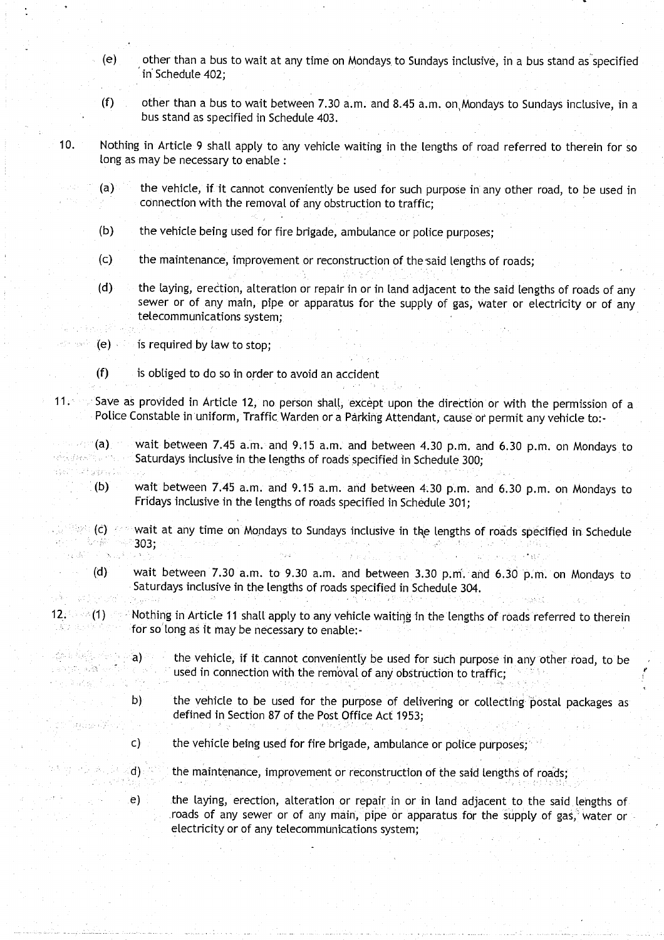- (e) other than a bus to wait at any time on Mondays to Sundays inclusive, in a bus stand as specified **in Schedule 402;**
- **(f) other than a bus to wait between 7** . **30 a .m. and 8**.**45 a.m**. **on,Mondays to Sundays inclusive, in a bus stand as specified in Schedule 403 .**
- **10. Nothing in Article 9 shall apply to any vehicle waiting in the lengths of road referred to therein for so long as may be necessary to enable:** 
	- **(a) the vehicle**, **if** it **cannot conveniently be used for such purpose in any other road** , **to be used in connection with the removal of any obstruction to traffic;**
	- **(b) the vehicle being used for fire brigade** , **ambulance or police purposes;**
	- **(c) the maintenance**, **improvement or reconstruction of the,said lengths of roads ;**
	- **(d) the laying**, **erection**, **alteration or repair in or in land adjacent to the said lengths of roads of any sewer or of any main, pipe or apparatus** for **the supply of gas**, **water or electricity or of any telecommunications system;**
	- **(e) is required by law to stop;**

 $\mathcal{O}(\varepsilon)$ 

소프로 출동할 때문에 일 s en titulades en

an ke Ch

- **(f) is obliged to do so in order to avoid an accident**
- **<sup>11</sup> . Save as provided in Article 12, no person shall** , **except upon the direction or with the permission of a** Police Constable in uniform, Traffic Warden or a Parking Attendant, cause or permit any vehicle to:-
- **(a) wait between 7.45 a**.**m. and 9** . **15 a.m . and between** 4.30 p.**<sup>m</sup> . and 6.30 p.m. on Mondays to Saturdays inclusive in the lengths of roads specified in Schedule 300;** Spot that grims is
	- **(b) wait between 7**.**45 a.m . and 9**. **15 a.m. and between 4 .30 p** . **m. and 6** . **30 p.m**. **on Mondays to Fridays inclusive in the lengths of roads specified in Schedule 301 ;**
- **(c) wait at any time on Mondays to Sundays inclusive in the lengths of** roads **specified** in **Schedule 303;**  $\alpha$  defined by  $\alpha$ 
	- **(d) wait between 7.30 a**.**<sup>m</sup> . to 9**. **30 a.m . and between 3 .30** <sup>p</sup> **. m . and 6** . **30 p.m** . **on Mondays to Saturdays inclusive in the lengths of roads specified in Schedule 304 .** 440 年 28
- **12. (1) Nothing in Article 11 shall apply to any vehicle waiting in the lengths of roads referred to therein**<br>**12. Construction** in the person of the person in the problem. **for solong as it** may be **necessa**ry **to enable:**
	- **a) the vehicle**, **if** it **cannot conveniently be used for such purpose in any other road, to be** 子一体 **used in connection with the removal of any** obstruction **to traffic;**
	- **b) the vehicle to be used for the purpose of delivering or collecting `postal packages as defined in Section 87 of the Post Office Act 1953 ;**
	- **c) the vehicle being used for fire brigade, ambulance or police purposes;**
	- **d) the maintenance**, **improvement or reconstruction of the said lengths of roads ;**

**e)** the laying, erection, alteration or repair in or in land adjacent to the said lengths of **-roads of any sewer or of any main** , **pipe or apparatus for the supply of gas**, **water or electricity or of any telecommunications system ;**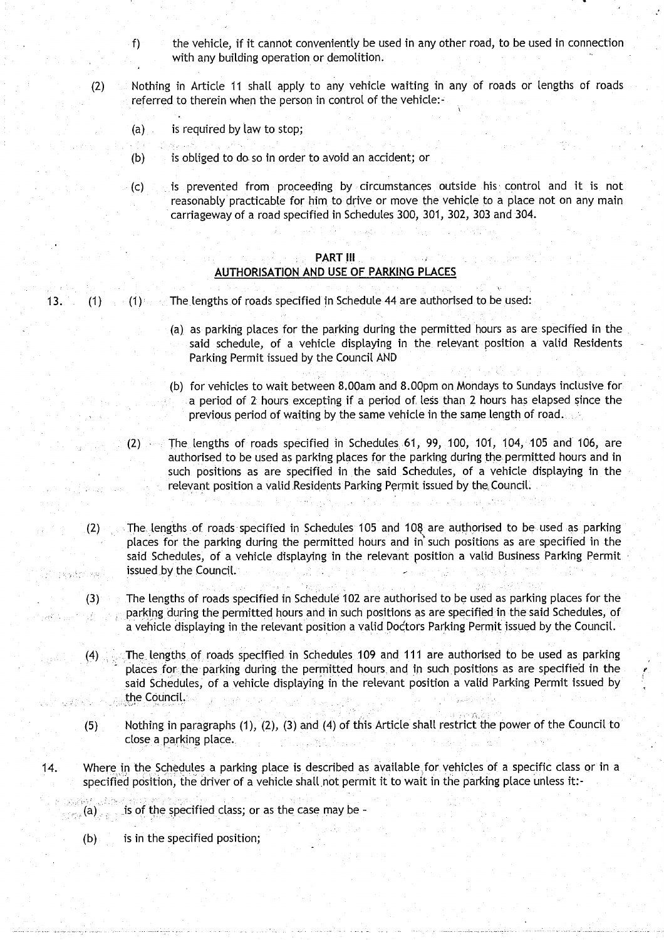- $f$  the vehicle, if it cannot conveniently be used in any other road, to be used in connection with any building operation or demolition.
- (2) Nothing in Article 11 shall apply to any vehicle waiting in any of roads or lengths of roads referred to therein when the person in control of the vehicle:
	- (a) is required by law to stop;
	- (b) is obliged to do so in order to avoid an accident; or
	- (c) is prevented from proceeding by circumstances outside his . control and it is not reasonably practicable for him to drive or move the vehicle to a place not on any main carriageway of a road specified in Schedules 300, 301, 302, 303 and 304 .

#### PART III **AUTHORISATION AND USE OF PARKING PLACES**

13. (1) (1) (1) The lengths of roads specified in Schedule 44 are authorised to be used:

- (a) as parking places for the parking during the permitted hours as are specified in the said schedule, of a vehicle displaying in the relevant position a valid Residents Parking Permit issued by the Council AND
- (b) for vehicles to wait between 8 .00am and 8.00pm on Mondays to Sundays inclusive for a period of 2 hours excepting if a period of. less than 2 hours has elapsed since the previous period of waiting by the same vehicle in the same length of road.
- (2) The lengths of roads specified in Schedules **61,** 99, 100, 101, 104, 105 and 106, are authorised to be used as parking places for the parking during the permitted hours and in such positions as are specified in the said Schedules, of a vehicle displaying in the relevant position a valid Residents Parking Permit issued by the Council.
- (2) The lengths of roads specified in Schedules 105 and 108 are authorised to be used as parking places for the parking during the permitted hours and in such positions as are specified in the said Schedules, of a vehicle displaying in the relevant position a valid Business Parking Permit issued by the Council.  $189337.888$ 
	- (3) The lengths of roads specified in Schedule 102 are authorised to be used as parking places for the parking during the permitted hours and in such positions as are specified in the said Schedules, of a vehicle displaying in the relevant position a valid Doctors Parking Permit issued by the Council .
	- (4) ..The lengths of roads specifiedin Schedules 109 and 111 are authorised to be used as parking places for the parking during the permitted hours and in such positions as are specified in the said Schedules, of a vehicle displaying in the relevant position a valid Parking Permit issued by the Council.
	- (5) Nothing in paragraphs (1), (2), (3) and (4) of this Article shall restrict the power of the Council to close a parking place..
- 14. Where in the Schedules a parking place is described as available for vehicles of a specific class or in a specified position, the driver of a vehicle shall not permit it to wait in the parking place unless it:-

 $\sim$  (a), is of the specified class; or as the case may be -

(b) is in the specified position;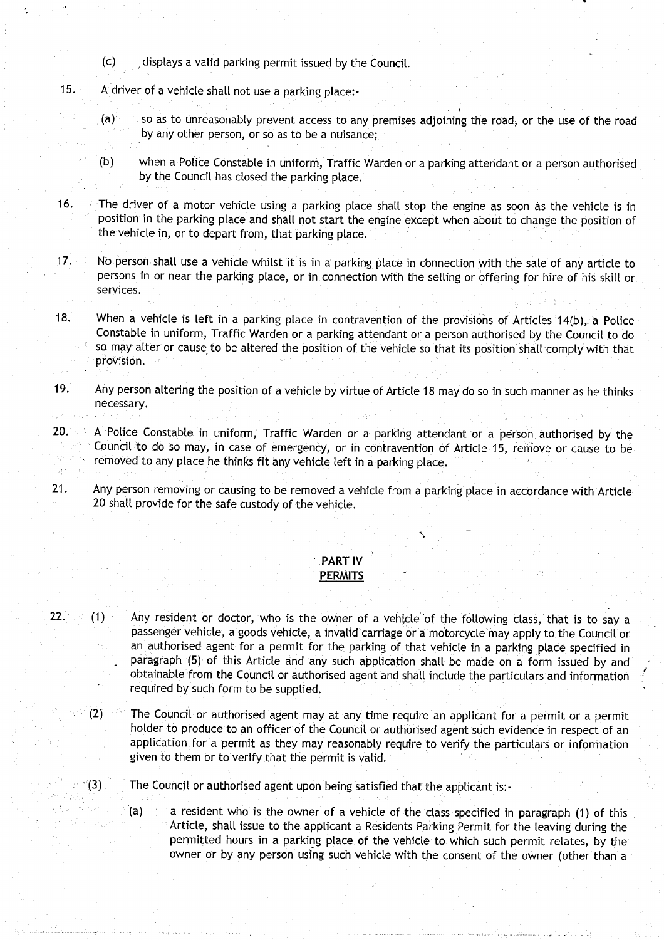- (c) displays a valid parking permit issued by the Council .
- 15. A driver of a vehicle shall not use a parking place:-
	- (a) so as to unreasonably prevent access to any premises adjoining the road, or the use of the road by any other person, or so as to be a nuisance;
	- (b) when a Police Constable in uniform, Traffic Warden or a parking attendant or a person authorised by the Council has closed the parking place .
- 16. The driver of a motor vehicle using a parking place shalt stop the engine as soon as the vehicle is in position in the parking place and shall not start the engine except when about to change the position of the vehicle in, or to depart from, that parking place.
- 17. No person: shall use a vehicle whilst it is in a parking place in connection with the sale of any article to persons in or near the parking place, or in. connection with the selling or offering for hire of his skill or services.
- 18. When a vehicle is left in a parking place in contravention of the provisions of Articles 14(b), a Police Constable in uniform, Traffic Warden or a parking attendant or a person authorised by the Council to do so may alter or cause to be altered the position of the vehicle so that its position shall comply with that provision.
- 19. Any person altering the position of a vehicle by virtue of Article 18 may do so in such manner as he thinks necessary.
- 20. A Police Constable in uniform, Traffic Warden or a parking attendant or a person authorised by the Council to do so may, in case of emergency, or in contravention of Article 15, remove or cause to be removed to any place he thinks fit any vehicle left in a parking place . 异位
- 21. Any person removing or causing to be removed a vehicle from a parking place in accordance with Article 20 shall provide for the safe custody of the vehicle.

## PART IV

- **PERMITS**
- $22.$  (1) Any resident or doctor, who is the owner of a vehicle of the following class, that is to say a passenger vehicle, a goods vehicle, a invalid carriage or a motorcycle may apply to the Council or an authorised agent for a permit for the parking of that vehicle in a parking place specified in paragraph (5) of this Article and any such application shall be made on a form issued by and obtainable from the Council or authorised agent and shall include the particulars and information required by such form to be supplied.
	- (2) The Council or authorised agent may at any time require an applicant for a permit or a permit holder to produce to an officer of the Council or authorised agent such evidence in respect of an application for a permit as they may reasonably require to verify the particulars or information given to them or to verify that the permit is valid.
	- (3) The Council or authorised agent upon being satisfied that the applicant is :-

 $(a)$  a resident who is the owner of a vehicle of the class specified in paragraph (1) of this Article, shall issue to the applicant a Residents Parking Permit for the leaving during the permitted hours in a parking place of the vehicle to which such permit relates, by the owner or by any person using such vehicle with the consent of the owner (other than a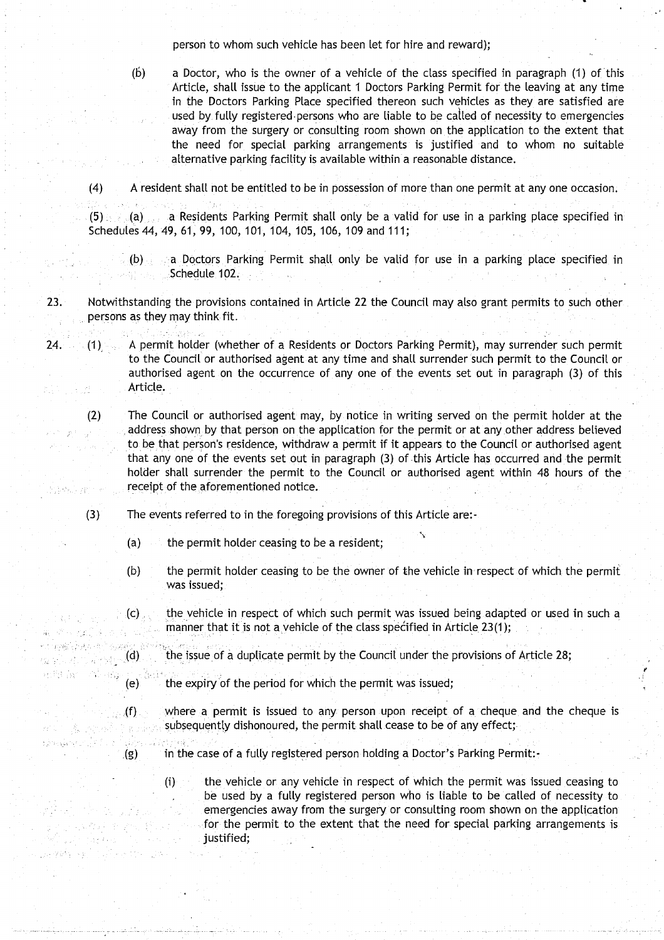person to whom such vehicle has been let for hire and reward);

(b) a Doctor, who is the owner of a vehicle of the class specified in paragraph (1) of 'this Article, shall issue to the applicant 1 Doctors Parking Permit for the leaving at any time in the Doctors Parking Place specified thereon such vehicles as they are satisfied are used by fully registered persons who are liable to be called of necessity to emergencies away from the surgery or consulting room shown on the application to the extent that the need for special parking arrangements is justified and to whom no suitable alternative parking facility is available within a reasonable distance.

(4) A resident shall not be entitled to be in possession of more than one permit at any one occasion .

(5) (a) a Residents Parking Permit shall only be a valid for use in a parking place specified in Schedules 44, 49, 61, 99, 100, 101, 104, 105, 106, 109 and 111;

- (b) a Doctors Parking Permit shall only be valid for use in a parking place specified in Schedule 102.
- 23. Notwithstanding the provisions contained in Article 22 the Council may also grant permits to such other persons as they may think fit.
- 24 . (1) A permit holder (whether of a Residents or Doctors Parking Permit), may surrender such permit to the Council or authorised agent at any time and shall surrender such permit to the Council or authorised agent on the occurrence of any one of the events set out in paragraph (3) of this Article.  $\mathbb{R}^4$
- (2) The Council or authorised agent may, by notice in writing served on the permit holder at the address shown. by that person on the application for the permit or at any other address believed to be that person's residence, withdraw a permit if it appears to the Council or authorised agent that any one of the events set out in paragraph (3) of this Article has occurred and the permit holder shall surrender the permit to the Council or authorised agent within 48 hours of the receipt of the aforementioned notice. 的时候, gener
	- $(3)$  The events referred to in the foregoing provisions of this Article are:-
		- (a) the permit holder ceasing to be a resident;
		- (b) the permit holder ceasing to be the owner of the vehicle in respect of which the permit was issued;
		- (c) the vehicle in respect of which such permit was issued being adapted or used in such a manner that it is not a vehicle of the class specified in Article 23(1);
- $\mathcal{A}$  (d) the issue of a duplicate permit by the Council under the provisions of Article 28;
	- $\epsilon$  (e) the expiry of the period for which the permit was issued;
		- $\mathcal{L}_p(f)$  where a permit is issued to any person upon receipt of a cheque and the cheque is subsequently dishonoured, the permit shall cease to be of any effect; ing Pala
			- (g) in the case of a fully registered person holding a Doctor's Parking Permit:-
				- 0) the vehicle or any vehicle in respect of which the permit was issued ceasing to be used by a fully registered person who is liable to be called of necessity to emergencies away from the surgery or consulting room shown on the application for the permit to the extent that the need for special parking arrangements is justified;

i Katil 经自动容量 医心脏

医原体病 化水泥 化设计

 $\sim 10$ 

r Parkus

de 1945 - El Caller de Cora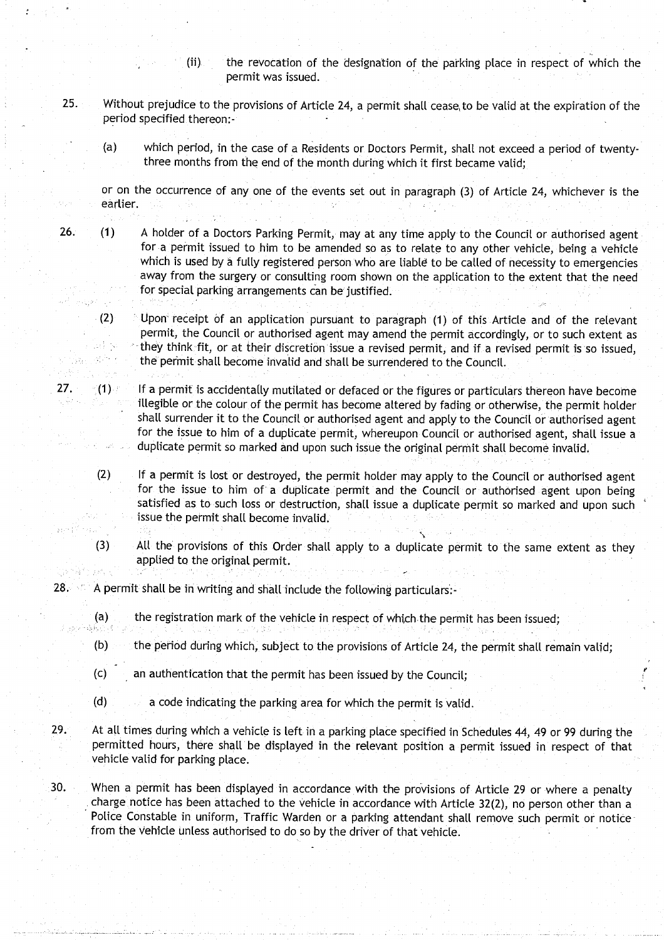- (ii) the revocation of the designation of the parking place in respect of which the permit was issued .
- 25 . Without prejudice to the provisions of Article 24, a permit shall cease, to be valid at the expiration of the period specified thereon:-
	- (a) which period, in the case of a Residents or Doctors Permit, shalt not exceed a period of twentythree months from the end of the month during which it first became valid;

or on the occurrence of any one of the events set out in paragraph (3) of Article 24, whichever is the earlier.

- 26. (1) A holder of a Doctors Parking Permit, may at any time apply to the Council or authorised agent for a permit issued to him to be amended so as to relate to any other vehicle, being a vehicle which is used by a fully registered person who are liable to be called of necessity to emergencies away from the surgery or consulting room shown on the application to the extent that the need for special parking arrangements can be justified.
	- (2) Upon` receipt of an application pursuant to paragraph (1) of this Article and of the relevant permit, the Council or authorised agent may amend the permit accordingly, or to such extent as la Por they think fit, or at their discretion issue a revised permit, and if a revised permit is so issued, the permit shall become invalid and shall be surrendered to the Council.
- $27.$  (1) If a permit is accidentally mutilated or defaced or the figures or particulars thereon have become illegible or the colour of the permit has become altered by fading or otherwise, the permit holder shall surrender it to the Council or authorised agent and apply to the Council or authorised agent for the issue to him of a duplicate permit, whereupon Council or authorised agent, shall issue a duplicate permit so marked and upon such issue the original permit shall become invalid.
	- (2) If a permit is lost or destroyed, the permit holder may apply to the Council or authorised agent for the issue to him of a duplicate permit and the Council or authorised agent upon being satisfied as to such toss or destruction, shall issue a duplicate permit so marked and upon such issue the permit shalt become invalid .
	- (3) All the provisions of this Order shall apply to a duplicate permit to the same extent as they applied to the original permit.
- $28.$  A permit shall be in writing and shall include the following particulars:-

iya k

diti.

มกลับผล

- (a) the registration mark of the vehicle in respect of which the permit has been issued;<br> $\frac{1}{2}$ 
	- (b) the period during which, subject to the provisions of Article 24, the permit shall remain valid;
	- (c) an authentication that the permit has been issued by the Council;
	- (d) a code indicating the parking area for which the permit is valid .
- 29. At all times during which a vehicle is left in a parking place specified in Schedules 44, 49 or 99 during the permitted hours, there shall be displayed in the relevant position a permit issued in respect of that vehicle valid for parking place .
- 30. When a permit has been displayed in accordance with the provisions of Article 29 or where a penalty charge notice has been attached to the vehicle in accordance with Article 32(2), no person other than a Police Constable in uniform, Traffic Warden or a parking attendant shall remove such permit or noticefrom the vehicle unless authorised to do so by the driver of that vehicle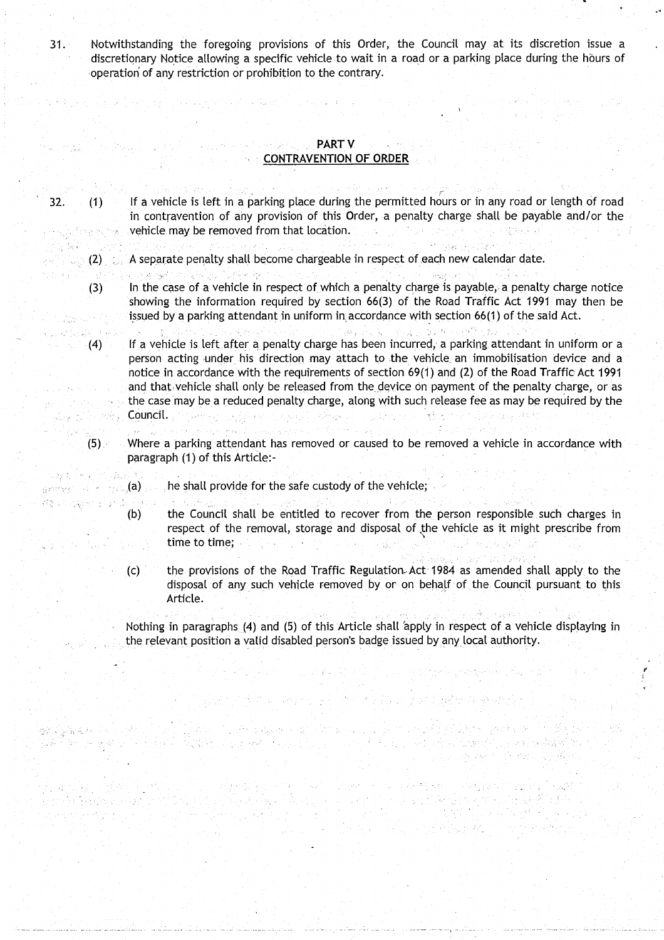31 . Notwithstanding the foregoing provisions of this Order, the Council may at its discretion issue a discretionary Notice allowing a specific vehicle to wait in a road or a parking place during the hours of operation of any restriction or prohibition to the contrary.

material and any target search and start (in the start of the start

#### r ikan ng partik sa mga sangkalang ng palang ng  $\mathsf{PARTV}$  at ang m  $\sim$  CONTRAVENTION OF ORDER

 $\mathcal{C}^{\mathcal{A}}$  is the  $\mathcal{C}$ 

机加速器

化醛合物 人名德弗洛

·第5章解释机图 2018年。

医细胞体 经国家科学 化硫酸 an an Partha a bh' a h

in en 150

32. (1) If a vehicle is left in a parking place during the permitted hours or in any road or length of road in contravention of any provision of this Order, a penalty charge shall be payable and/or the vehicle may be removed from that location.  $\mathcal{L}^{\mathcal{A}}(\mathcal{A})=\sum_{i=1}^n\mathcal{L}^{\mathcal{A}}(\mathcal{A})\mathcal{A}^{\mathcal{A}}(\mathcal{A})=\sum_{i=1}^n\mathcal{L}^{\mathcal{A}}(\mathcal{A})\mathcal{A}^{\mathcal{A}}(\mathcal{A})=\sum_{i=1}^n\mathcal{L}^{\mathcal{A}}(\mathcal{A})\mathcal{A}^{\mathcal{A}}(\mathcal{A})=\sum_{i=1}^n\mathcal{L}^{\mathcal{A}}(\mathcal{A})\mathcal{A}^{\mathcal{A}}(\mathcal{A})=\sum_{i=1}^n\mathcal{$ programacións.

计开启程序 医神经动脉瘤

그 사진 세 시 시간

1974 - Paris

**医心脏病 医乳房治疗检查器 医心室运动脉搏** 

(4) 医反射 化过少分 机心理气化

- $\langle\cdot,\cdot\rangle$  (2)  $\langle\cdot,\cdot\rangle$  A separate penalty shall become chargeable in respect of each new calendar date.
	- a ng katingan ng Kabupatèn Ka  $\label{eq:3.1} \lim \sup_{n \to \infty} \mathbb{E} \left[ \sum_{i=1}^n \mathbb{E} \left[ \mathcal{L}_i \right] \right] \, .$  $\sim 1.3\%$
	- $(3)$  In the case of a vehicle in respect of which a penalty charge is payable, a penalty charge notice showing the information required by section 66(3) of the Road Traffic Act 1991 may then be issued by a parking attendant in uniform in accordance with section 66(1) of the said Act.  $\label{eq:1} \frac{1}{2}\sum_{i=1}^n\sum_{j=1}^n\left(\frac{1}{2}\right)^2\sum_{j=1}^n\sum_{j=1}^n\left(\frac{1}{2}\right)^2.$
- (4) If a vehicle is left after a penalty charge has been incurred, a parking attendant in uniform or a person acting under his direction may attach to the vehicle an immobilisation device and a notice in accordance with the requirements of section 69(1) and (2) of the Road Traffic Act 1991 and that vehicle shall only be released from the device on payment of the penalty charge, or as the case may be a reduced penalty charge, along with such release fee as may be required by the  $\{x_{i},x_{i}\}$ **如果是个不好** Council. **And Strawer Community of Committee Strawer** 
	- 29 page 19 (5) . Where a parking attendant has removed or caused to be removed a vehicle in accordance with paragraph (1) of this Article:-
- $\mathbb{R}^n$  and  $\mathbb{R}^n$  (a)  $\mathbb{R}^n$  , he shall provide for the safe custody of the vehicle;

والمتابين ويعانه

- (b) the Council shall be entitled to recover from the person responsible . such charges in respect of the removal, storage and disposal of the vehicle as it might prescribe from time to time;  $\label{eq:2.1} \frac{1}{2} \left( \frac{1}{2} \left( \frac{1}{2} \right) \right) \left( \frac{1}{2} \left( \frac{1}{2} \right) \right) \left( \frac{1}{2} \left( \frac{1}{2} \right) \right) \left( \frac{1}{2} \right) \left( \frac{1}{2} \right) \left( \frac{1}{2} \right) \left( \frac{1}{2} \right) \left( \frac{1}{2} \right) \left( \frac{1}{2} \right) \left( \frac{1}{2} \right) \left( \frac{1}{2} \right) \left( \frac{1}{2} \right) \left( \frac{1}{2$  $\frac{1}{12}$  ,  $\lambda_{\rm{eff}}$  ,  $\frac{1}{12}$  ,
	- $(c)$  the provisions of the Road Traffic Regulation Act 1984 as amended shall apply to the disposal of any such vehicle removed by or on behalf of the Council pursuant to this Article.

Nothing in paragraphs (4) and (5) of this Article shall 'apply in respect of a vehicle displaying in the relevant position a valid disabled person's badge issued **by** any local authority.

player of the most several policies in the player particular and called player

ા છે. આ સહિતના વિશે તે પુરુષો અને પર સાત પર પર પરીકે જીવનના પ્રોપ્ય કરવાનો સંસ્થિત વિશે કરી છે.<br>સ્પર્શ એવું પ્રોપ્ય કરી મુખ્યત્વે તે તે તે પણ મુખ્યત્વે છે. તે તે જે જે જે જે પુરુષોના જે પણ વેચ કુંગળી રહી તે

**The Secret Secrets** 

gana mitorik 1960. Koski i jugos od 1975 inapse skaj odronos u selu je dovreljeki pirineske premene. U fozik n<br>Popose mjetov i sobjektivi izvanje se na prispoznali iz se osvojo dobijan s svojskom izmenji svije mineralnjim

 $\label{eq:2.1} \frac{1}{2}\frac{1}{2}\left[\frac{1}{2}\left(\frac{1}{2}\right)^2+\frac{1}{2}\left(\frac{1}{2}\right)^2+\frac{1}{2}\left(\frac{1}{2}\right)^2+\frac{1}{2}\left(\frac{1}{2}\right)^2+\frac{1}{2}\left(\frac{1}{2}\right)^2\right]\frac{1}{2}\right].$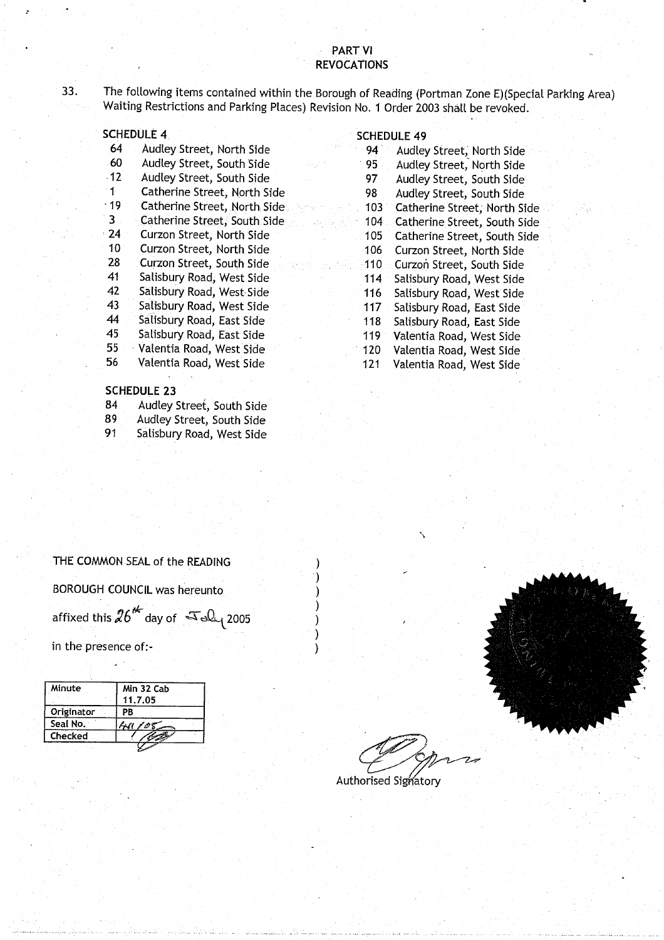#### PART VI **REVOCATIONS**

33. The following items contained within the Borough of Reading (Portman Zone E)(Special Parking Area) Waiting Restrictions and Parking Places) Revision No . 1 Order 2003 shall be revoked .

|            | <b>SCHEDULE 4</b>            |     | <b>SCHEDULE 49</b> |
|------------|------------------------------|-----|--------------------|
| 64         | Audley Street, North Side    | 94  | Audley             |
| $-60$      | Audley Street, South Side    | 95  | Audley             |
| $-12$      | Audley Street, South Side    | 97  | Audley             |
| ำ1⊵        | Catherine Street, North Side | 98  | Audley             |
| $-19$      | Catherine Street, North Side | 103 | Cather             |
| 3          | Catherine Street, South Side | 104 | Cather             |
| $\cdot$ 24 | Curzon Street, North Side    | 105 | Cather             |
| 10         | Curzon Street, North Side    | 106 | Curzon             |
| 28         | Curzon Street, South Side    | 110 | Curzon             |
| 41         | Salisbury Road, West Side    | 114 | Salisbu            |
| $-42$      | Salisbury Road, West Side    | 116 | Salisbu            |
| 43         | Salisbury Road, West Side    | 117 | Salisbu            |
| 44         | Salisbury Road, East Side    | 118 | Salisbu            |
| 45         | Salisbury Road, East Side    | 119 | Valenti            |
| 55         | Valentia Road, West Side     | 120 | Valenti            |
| 56         | Valentia Road, West Side     | 121 | Valenti            |
|            |                              |     |                    |

#### **SCHEDULE 2 3**

- 84 Audley Street, South Side<br>89 Audley Street, South Side
- Audley Street, South Side
- 

- 94 Audley Street, North Side<br>95 Audley Street, North Side
- Audley Street, North Side
- 97 Audley Street, South Side
- 98 Audley Street, South Side
- 103 Catherine Street, North Side<br>104 Catherine Street, South Side
- Catherine Street, South Side
- 105 Catherine Street, South Side
- 106 Curzon Street, North Side
- 110 Curzon Street, South Side
- 114 Salisbury Road, West Side
- 116 Salisbury Road, West Side
- 43 Salisbury Road, West Side 117 Salisbury **Road**, East Side
- 118 Salisbury Road, East Side<br>119 Valentia Road, West Side
- 119 Valentia Road, West Side<br>120 Valentia Road, West Side
- 55 Valentia Road, West Side 120 Valentia Road, West Side Valentia Road, West Side

- 
- 
- 91 Salisbury Road, West Side



Authorised Signatory

BOROUGH COUNCIL was hereunto ) affixed this  $26^{4}$  day of  $\sqrt{3}$   $\Omega$ <sub>1</sub> 2005 THE COMMON SEAL of the READING<br>BOROUGH COUNCIL was hereunto<br>affixed this  $26^{46}$  day of  $\sqrt{36}$  2005<br>in the presence of:

THE COMMON SEAL of the READING

| Minute     | Min 32 Cab |  |
|------------|------------|--|
|            | 11.7.05    |  |
| Originator | ΡB         |  |
| Seal No. . | 705        |  |
| Checked    |            |  |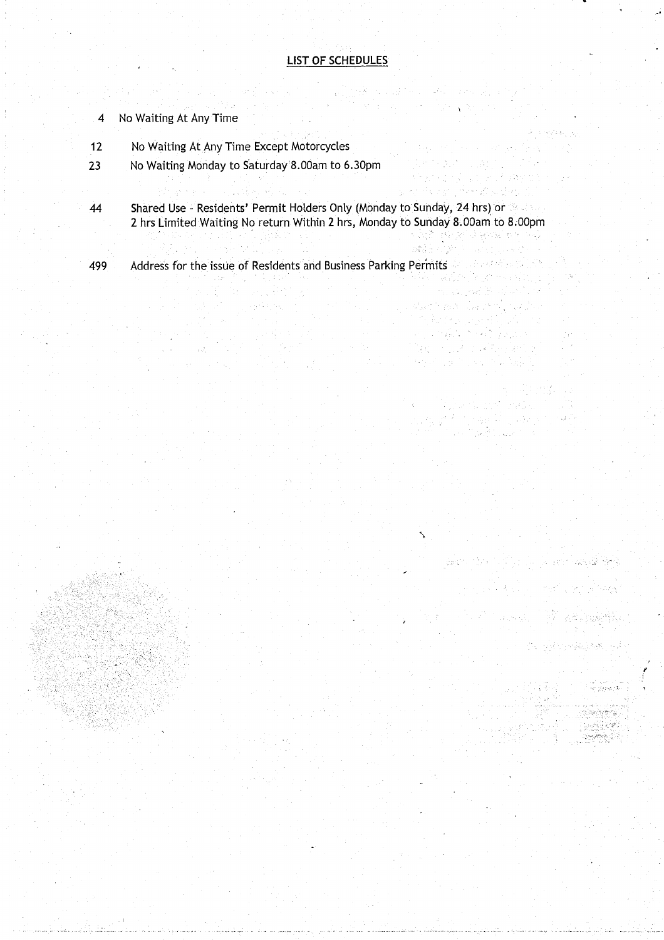#### LIST OF SCHEDULES

- 4 No Waiting At Any Time
- 12 No Waiting At Any Time Except Motorcycles
- 23 No Waiting Monday to Saturday 8 .00am to 6 .30pm
- 44 Shared Use Residents' Permit Holders Only (Monday to Sunday, 24 hrs) or 2 hrs Limited Waiting No return Within 2 hrs, Monday to Sunday 8 .00am to 8.OOpm

Bilde

Participation and

36.50

Part 1 ngels. Sigar 19 and the

 $\mathbb{R}^n \times \mathbb{R}^{n \times m}$ 

ia nuku Kepang  $\mathcal{L}(\mathcal{G},\mathcal{G})\subseteq \mathcal{G}(\mathcal{G})\subseteq \mathcal{L}(\mathcal{G})\subseteq \mathcal{L}(\mathcal{G})\subseteq \mathcal{L}(\mathcal{G})$ 

Albert Waller

n an S

 $\mathcal{F}^{\mathcal{F}}(\mathcal{E}_{\mathcal{F}}^{k})$  and

Gester Adam Participation is a commission George

ල වෙන් විට පත් ලෙසු මෙනුද

2.2. July 19,

.<br>આ દરમજ દર

ti oktorizativa od

on ang paman<br>Pagkalaya<br>Takat bakan an

ing k  $\frac{1}{2}$ 

rsa 2

499 Address for the issue of Residents and Business Parking Permits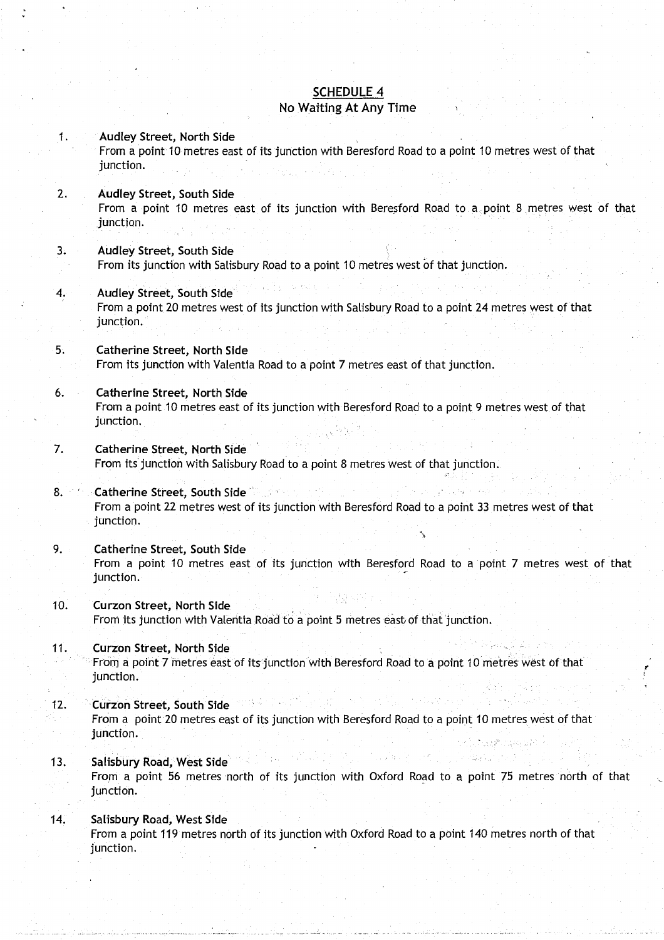### SCHEDULE 4

#### No Waiting At Any Time

#### <sup>1</sup> . Audley Street**, North Side**

From a point 10 metres east of its junction with Beresford Road to a point 10 metres west of that junction.

#### **<sup>2</sup> . Audley Street**, **South Side**

From a point 10 metres east of its junction with Beresford Road to a . point 8 metres west of that junction.

#### **3. Audley Street**, **South Side**

From its junction with Salisbury Road to a point 10 metres west of that junction .

#### **4. Audley Street, South Side'**

From a point 20 metres west of its junction with Salisbury Road to a point 24 metres west of that junction.

#### **5. Catherine Street**, **North Side**

From its junction with Valentia Road to a point 7 metres east of that junction .

#### **<sup>6</sup> . Catherine Street**, **North Side** From a point 10 metres east of its junction with Beresford Road to a point 9 metres west of that junction.

#### **7. Catherine Street**, **North Side** From its junction with Salisbury Road to a point 8 metres west of that junction .

#### **8. Catherine Street, South Side <b>Constant** From a point 22 metres west of its junction with Beresford Road to a point 33 metres west of that junction.

#### **<sup>9</sup> . Catherine Street**, **South Side** From a point 10 metres east of its junction with Beresford Road to a point 7 metres west of that junction.

#### **<sup>10</sup> . Curzon Street**, **North Side** From its junction with Valentia Road to a point 5 metres east of that junction .

#### **<sup>11</sup> . Curzon Street**, **North Side** From a point 7 metres east of its junction with Beresford Road to a point 10 metres west of that junction.

#### **<sup>12</sup> . Curzon Street**, **South Side** From a point 20 metres east of its junction with Beresford Road to a point 10 metres west of that junction.

#### **<sup>13</sup> . Salisbu**ry **Road**, West Side

From a point 56 metres north of its junction with Oxford Road to a point 75 metres north of that junction.

### <sup>14</sup> . Salisbury **Road**, **West Side**

From a point 119 metres north of its junction with Oxford Road to a point 140 metres north of that junction.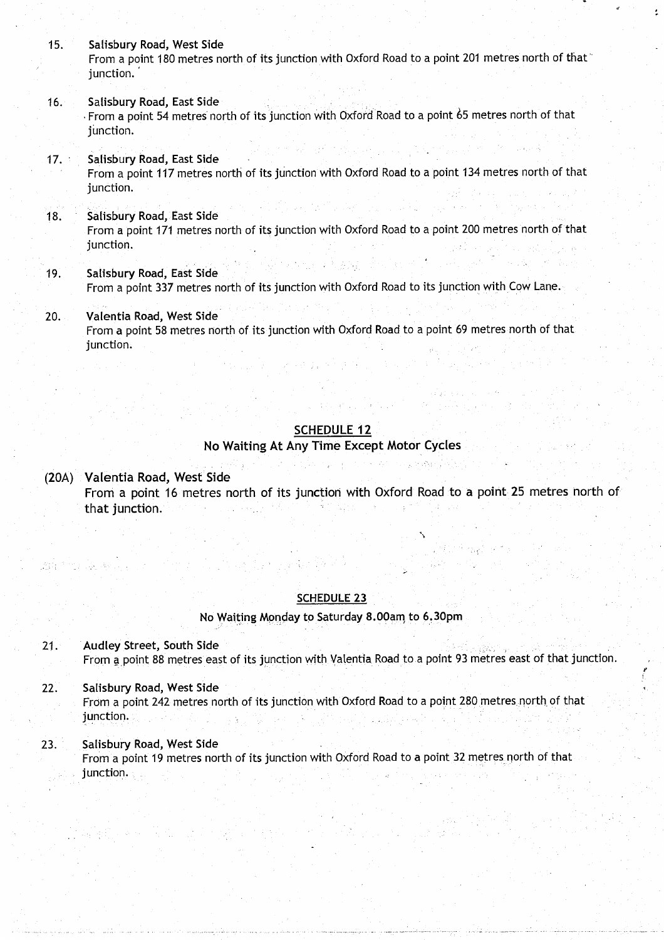- 15. Salisbury Road, West Side From a point 180 metres north of its junction with Oxford Road to a point 201 metres north of that junction.
- 16. Salisbury Road, East Side From a point 54 metres north of its junction with Oxford Road to a point 65 metres north of that junction.
- 17. Salisbury **Road**, **East Side** From a point 117 metres north of its junction with Oxford Road to a point 134 metres north of that junction.
- 18. Salisbury Road, East Side From a point 171 metres north of its junction with Oxford Road to a point 200 metres north of that junction.
- **<sup>19</sup> . Salisbu**ry **Road**, **East Side** From a point 337 metres north of its junction with Oxford Road to its junction with Cow Lane.
- 20. Valentia **Road**, **West Side** From a point 58 metres north of its junction with Oxford Road to a point 69 metres north of that junction.

#### **SCHEDULE 12**

a planny ny honor Amerika av Bry

#### **No Waiting** At Any Time **Except Motor Cycles**

(20A) Valentia **Road**, West Side From a point 16 metres north of its junction with Oxford Road to a point 25 metres north of that junction.

#### SCHEDULE 23

#### **No** Waiting **Monday to Saturday 8 .00am to 6 .30pm**

**21 . Audley Street, South Side** From a point 88 metres east of its junction with Valentia Road to a point 93 metres east of that junction.

f

22. Salisbury **Road**, **West Side** From a point 242 metres north of its junction with Oxford Road to a point 280 metres, north of that junction.

#### 23. Salisbury **Road**, **West Side** From a point 19 metres north of its junction with Oxford Road to a point 32 metres north of that junction.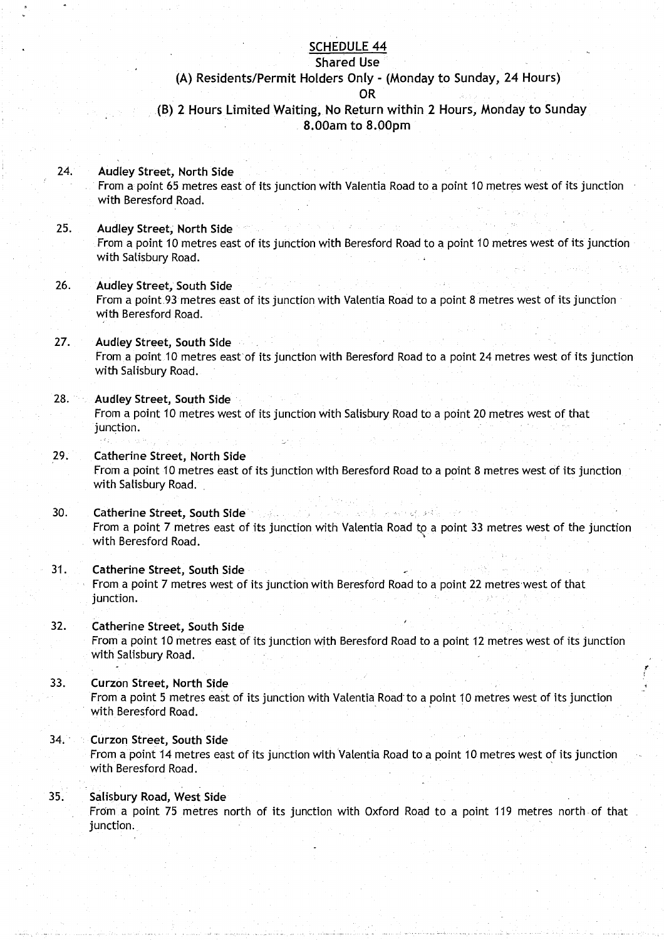#### SCHEDULE 44

### **Shared Use**

## **(A) Residents**/**Permit Holders** Only - (Monday to Sunday, 24 Hours)

**OR**

### **(B) 2 Hours Limited** Waiting**, No Return** within 2 Hours, Monday to Sunday **8 .OOam to 8 .**0**Opm**

- 24. Audley Street, **North Side** From a point 65 metres east of its junction with Valentia Road to a point 10 metres west of its junction with Beresford Road.
- **25. Audley Street**, **North Side** From a point 10 metres east of its junction with Beresford Road to a point 10 metres west of its junction with Salisbury Road .
- **<sup>26</sup> . Audley** Street, **South Side** From a point 93 metres east of its junction with Valentia Road to a point 8 metres west of its junction with Beresford Road.
- 27. Audley Street, **South Side** From a point 10 metres east of its junction with Beresford Road to a point 24 metres west of its junction with Salisbury Road.
- **28. Audley Street, South Side**

From a point 10 metres west of its junction with Salisbury Road to a point 20 metres west of that junction.

- **29. Catherine Street**, **North Side** From a point 10 metres east of its junction with Beresford Road to a point 8 metres west of its junction with Salisbury Road.
- **30 . Catherine Street**, **South Side** From a point 7 metres east of its junction with Valentia Road to a point 33 metres west of the junction with Beresford Road .
- **<sup>31</sup> . Catherine Street**, **South Side** From a point 7 metres west of its junction with Beresford Road to a point 22 metres west of that junction.
- **32.** Catherine Street, South Side From a point 10 metres east of its junction with Beresford Road to a point 12 metres west of its junction with Salisbury Road.
- **<sup>33</sup> . Curzon Street**, **North Side** From a point 5 metres east of its junction with Valentia Road"to a point 10 metres west of its junction with Beresford Road.
- 34. Curzon Street, South Side

From a point 14 metres east of its junction with Valentia Road to a point 10 metres west of its junction with Beresford Road .

#### 35. Salisbury **Road**, **West Side**

From a point 75 metres north of its junction with Oxford Road to a point 119 metres north-of that junction.